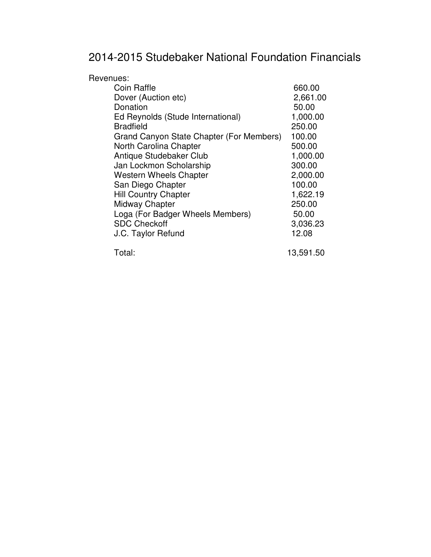## 2014-2015 Studebaker National Foundation Financials

| Revenues:                                |           |
|------------------------------------------|-----------|
| Coin Raffle                              | 660.00    |
| Dover (Auction etc)                      | 2,661.00  |
| Donation                                 | 50.00     |
| Ed Reynolds (Stude International)        | 1,000.00  |
| <b>Bradfield</b>                         | 250.00    |
| Grand Canyon State Chapter (For Members) | 100.00    |
| North Carolina Chapter                   | 500.00    |
| Antique Studebaker Club                  | 1,000.00  |
| Jan Lockmon Scholarship                  | 300.00    |
| <b>Western Wheels Chapter</b>            | 2,000.00  |
| San Diego Chapter                        | 100.00    |
| <b>Hill Country Chapter</b>              | 1,622.19  |
| <b>Midway Chapter</b>                    | 250.00    |
| Loga (For Badger Wheels Members)         | 50.00     |
| <b>SDC Checkoff</b>                      | 3,036.23  |
| J.C. Taylor Refund                       | 12.08     |
| Total:                                   | 13,591.50 |